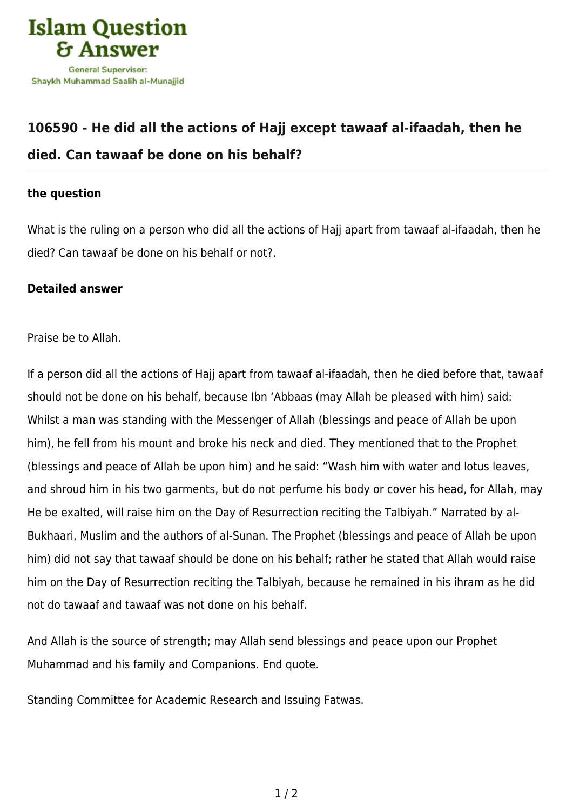

## **[106590 - He did all the actions of Hajj except tawaaf al-ifaadah, then he](https://islamqa.com/en/answers/106590/he-did-all-the-actions-of-hajj-except-tawaaf-al-ifaadah-then-he-died-can-tawaaf-be-done-on-his-behalf) [died. Can tawaaf be done on his behalf?](https://islamqa.com/en/answers/106590/he-did-all-the-actions-of-hajj-except-tawaaf-al-ifaadah-then-he-died-can-tawaaf-be-done-on-his-behalf)**

## **the question**

What is the ruling on a person who did all the actions of Hajj apart from tawaaf al-ifaadah, then he died? Can tawaaf be done on his behalf or not?.

## **Detailed answer**

Praise be to Allah.

If a person did all the actions of Hajj apart from tawaaf al-ifaadah, then he died before that, tawaaf should not be done on his behalf, because Ibn 'Abbaas (may Allah be pleased with him) said: Whilst a man was standing with the Messenger of Allah (blessings and peace of Allah be upon him), he fell from his mount and broke his neck and died. They mentioned that to the Prophet (blessings and peace of Allah be upon him) and he said: "Wash him with water and lotus leaves, and shroud him in his two garments, but do not perfume his body or cover his head, for Allah, may He be exalted, will raise him on the Day of Resurrection reciting the Talbiyah." Narrated by al-Bukhaari, Muslim and the authors of al-Sunan. The Prophet (blessings and peace of Allah be upon him) did not say that tawaaf should be done on his behalf; rather he stated that Allah would raise him on the Day of Resurrection reciting the Talbiyah, because he remained in his ihram as he did not do tawaaf and tawaaf was not done on his behalf.

And Allah is the source of strength; may Allah send blessings and peace upon our Prophet Muhammad and his family and Companions. End quote.

Standing Committee for Academic Research and Issuing Fatwas.